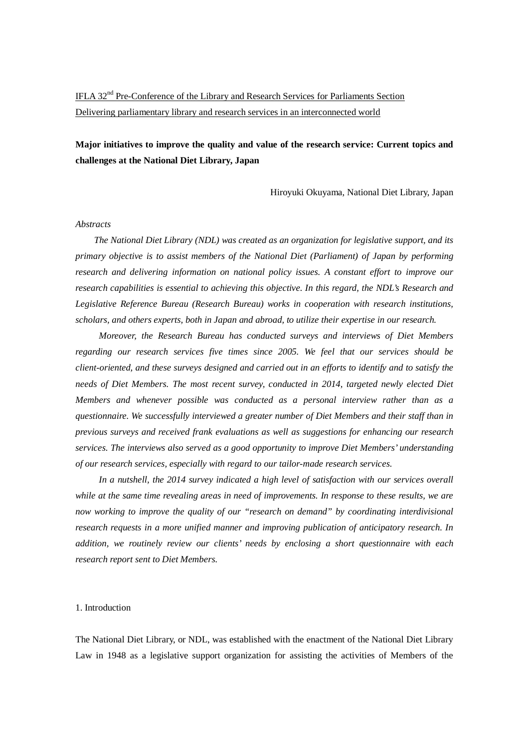# IFLA 32nd Pre-Conference of the Library and Research Services for Parliaments Section Delivering parliamentary library and research services in an interconnected world

## **Major initiatives to improve the quality and value of the research service: Current topics and challenges at the National Diet Library, Japan**

Hiroyuki Okuyama, National Diet Library, Japan

#### *Abstracts*

*The National Diet Library (NDL) was created as an organization for legislative support, and its primary objective is to assist members of the National Diet (Parliament) of Japan by performing research and delivering information on national policy issues. A constant effort to improve our research capabilities is essential to achieving this objective. In this regard, the NDL's Research and Legislative Reference Bureau (Research Bureau) works in cooperation with research institutions, scholars, and others experts, both in Japan and abroad, to utilize their expertise in our research.*

 *Moreover, the Research Bureau has conducted surveys and interviews of Diet Members regarding our research services five times since 2005. We feel that our services should be client-oriented, and these surveys designed and carried out in an efforts to identify and to satisfy the needs of Diet Members. The most recent survey, conducted in 2014, targeted newly elected Diet Members and whenever possible was conducted as a personal interview rather than as a questionnaire. We successfully interviewed a greater number of Diet Members and their staff than in previous surveys and received frank evaluations as well as suggestions for enhancing our research services. The interviews also served as a good opportunity to improve Diet Members' understanding of our research services, especially with regard to our tailor-made research services.*

 *In a nutshell, the 2014 survey indicated a high level of satisfaction with our services overall while at the same time revealing areas in need of improvements. In response to these results, we are now working to improve the quality of our "research on demand" by coordinating interdivisional research requests in a more unified manner and improving publication of anticipatory research. In addition, we routinely review our clients' needs by enclosing a short questionnaire with each research report sent to Diet Members.*

#### 1. Introduction

The National Diet Library, or NDL, was established with the enactment of the National Diet Library Law in 1948 as a legislative support organization for assisting the activities of Members of the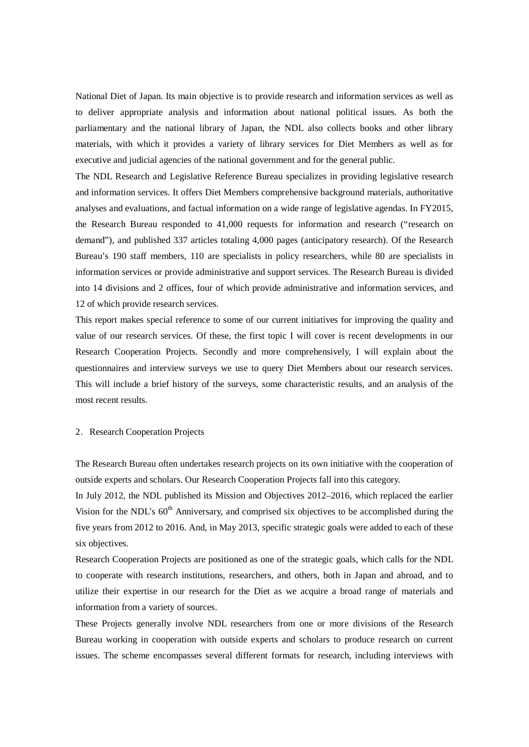National Diet of Japan. Its main objective is to provide research and information services as well as to deliver appropriate analysis and information about national political issues. As both the parliamentary and the national library of Japan, the NDL also collects books and other library materials, with which it provides a variety of library services for Diet Members as well as for executive and judicial agencies of the national government and for the general public.

The NDL Research and Legislative Reference Bureau specializes in providing legislative research and information services. It offers Diet Members comprehensive background materials, authoritative analyses and evaluations, and factual information on a wide range of legislative agendas. In FY2015, the Research Bureau responded to 41,000 requests for information and research ("research on demand"), and published 337 articles totaling 4,000 pages (anticipatory research). Of the Research Bureau's 190 staff members, 110 are specialists in policy researchers, while 80 are specialists in information services or provide administrative and support services. The Research Bureau is divided into 14 divisions and 2 offices, four of which provide administrative and information services, and 12 of which provide research services.

This report makes special reference to some of our current initiatives for improving the quality and value of our research services. Of these, the first topic I will cover is recent developments in our Research Cooperation Projects. Secondly and more comprehensively, I will explain about the questionnaires and interview surveys we use to query Diet Members about our research services. This will include a brief history of the surveys, some characteristic results, and an analysis of the most recent results.

### 2. Research Cooperation Projects

The Research Bureau often undertakes research projects on its own initiative with the cooperation of outside experts and scholars. Our Research Cooperation Projects fall into this category.

In July 2012, the NDL published its Mission and Objectives 2012–2016, which replaced the earlier Vision for the NDL's  $60<sup>th</sup>$  Anniversary, and comprised six objectives to be accomplished during the five years from 2012 to 2016. And, in May 2013, specific strategic goals were added to each of these six objectives.

Research Cooperation Projects are positioned as one of the strategic goals, which calls for the NDL to cooperate with research institutions, researchers, and others, both in Japan and abroad, and to utilize their expertise in our research for the Diet as we acquire a broad range of materials and information from a variety of sources.

These Projects generally involve NDL researchers from one or more divisions of the Research Bureau working in cooperation with outside experts and scholars to produce research on current issues. The scheme encompasses several different formats for research, including interviews with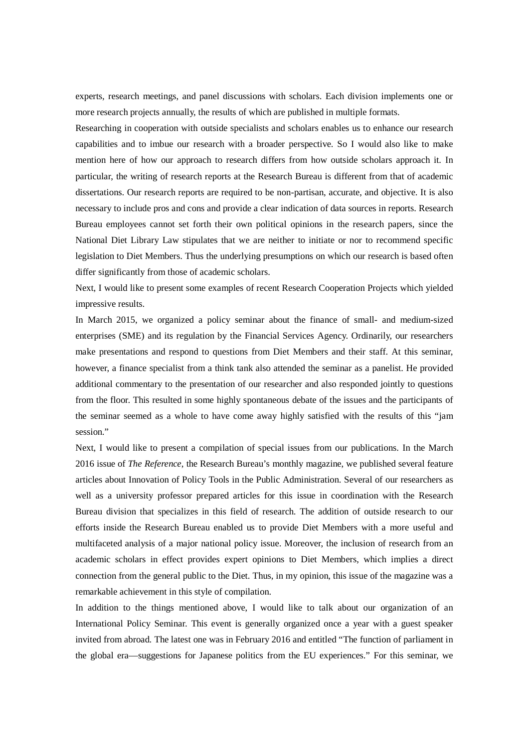experts, research meetings, and panel discussions with scholars. Each division implements one or more research projects annually, the results of which are published in multiple formats.

Researching in cooperation with outside specialists and scholars enables us to enhance our research capabilities and to imbue our research with a broader perspective. So I would also like to make mention here of how our approach to research differs from how outside scholars approach it. In particular, the writing of research reports at the Research Bureau is different from that of academic dissertations. Our research reports are required to be non-partisan, accurate, and objective. It is also necessary to include pros and cons and provide a clear indication of data sources in reports. Research Bureau employees cannot set forth their own political opinions in the research papers, since the National Diet Library Law stipulates that we are neither to initiate or nor to recommend specific legislation to Diet Members. Thus the underlying presumptions on which our research is based often differ significantly from those of academic scholars.

Next, I would like to present some examples of recent Research Cooperation Projects which yielded impressive results.

In March 2015, we organized a policy seminar about the finance of small- and medium-sized enterprises (SME) and its regulation by the Financial Services Agency. Ordinarily, our researchers make presentations and respond to questions from Diet Members and their staff. At this seminar, however, a finance specialist from a think tank also attended the seminar as a panelist. He provided additional commentary to the presentation of our researcher and also responded jointly to questions from the floor. This resulted in some highly spontaneous debate of the issues and the participants of the seminar seemed as a whole to have come away highly satisfied with the results of this "jam session."

Next, I would like to present a compilation of special issues from our publications. In the March 2016 issue of *The Reference*, the Research Bureau's monthly magazine, we published several feature articles about Innovation of Policy Tools in the Public Administration. Several of our researchers as well as a university professor prepared articles for this issue in coordination with the Research Bureau division that specializes in this field of research. The addition of outside research to our efforts inside the Research Bureau enabled us to provide Diet Members with a more useful and multifaceted analysis of a major national policy issue. Moreover, the inclusion of research from an academic scholars in effect provides expert opinions to Diet Members, which implies a direct connection from the general public to the Diet. Thus, in my opinion, this issue of the magazine was a remarkable achievement in this style of compilation.

In addition to the things mentioned above, I would like to talk about our organization of an International Policy Seminar. This event is generally organized once a year with a guest speaker invited from abroad. The latest one was in February 2016 and entitled "The function of parliament in the global era—suggestions for Japanese politics from the EU experiences." For this seminar, we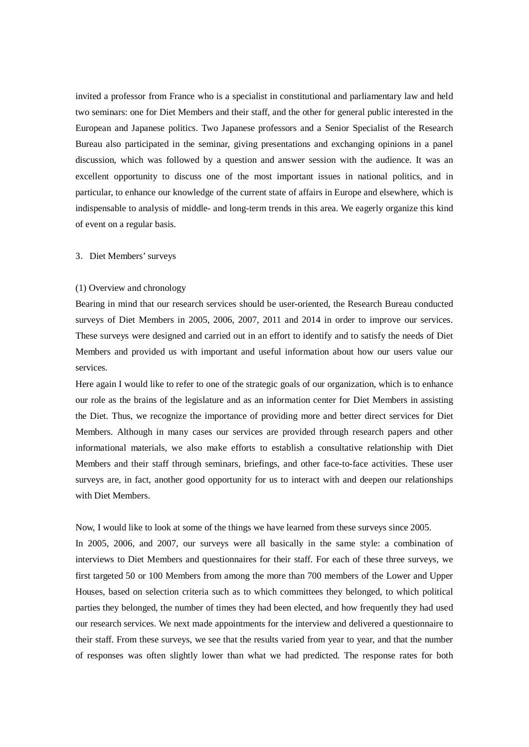invited a professor from France who is a specialist in constitutional and parliamentary law and held two seminars: one for Diet Members and their staff, and the other for general public interested in the European and Japanese politics. Two Japanese professors and a Senior Specialist of the Research Bureau also participated in the seminar, giving presentations and exchanging opinions in a panel discussion, which was followed by a question and answer session with the audience. It was an excellent opportunity to discuss one of the most important issues in national politics, and in particular, to enhance our knowledge of the current state of affairs in Europe and elsewhere, which is indispensable to analysis of middle- and long-term trends in this area. We eagerly organize this kind of event on a regular basis.

#### 3.Diet Members' surveys

#### (1) Overview and chronology

Bearing in mind that our research services should be user-oriented, the Research Bureau conducted surveys of Diet Members in 2005, 2006, 2007, 2011 and 2014 in order to improve our services. These surveys were designed and carried out in an effort to identify and to satisfy the needs of Diet Members and provided us with important and useful information about how our users value our services.

Here again I would like to refer to one of the strategic goals of our organization, which is to enhance our role as the brains of the legislature and as an information center for Diet Members in assisting the Diet. Thus, we recognize the importance of providing more and better direct services for Diet Members. Although in many cases our services are provided through research papers and other informational materials, we also make efforts to establish a consultative relationship with Diet Members and their staff through seminars, briefings, and other face-to-face activities. These user surveys are, in fact, another good opportunity for us to interact with and deepen our relationships with Diet Members.

Now, I would like to look at some of the things we have learned from these surveys since 2005. In 2005, 2006, and 2007, our surveys were all basically in the same style: a combination of interviews to Diet Members and questionnaires for their staff. For each of these three surveys, we first targeted 50 or 100 Members from among the more than 700 members of the Lower and Upper Houses, based on selection criteria such as to which committees they belonged, to which political parties they belonged, the number of times they had been elected, and how frequently they had used our research services. We next made appointments for the interview and delivered a questionnaire to their staff. From these surveys, we see that the results varied from year to year, and that the number of responses was often slightly lower than what we had predicted. The response rates for both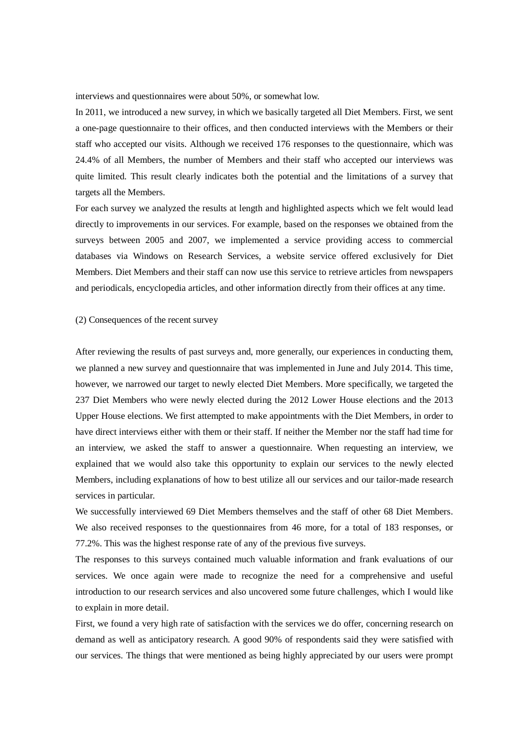interviews and questionnaires were about 50%, or somewhat low.

In 2011, we introduced a new survey, in which we basically targeted all Diet Members. First, we sent a one-page questionnaire to their offices, and then conducted interviews with the Members or their staff who accepted our visits. Although we received 176 responses to the questionnaire, which was 24.4% of all Members, the number of Members and their staff who accepted our interviews was quite limited. This result clearly indicates both the potential and the limitations of a survey that targets all the Members.

For each survey we analyzed the results at length and highlighted aspects which we felt would lead directly to improvements in our services. For example, based on the responses we obtained from the surveys between 2005 and 2007, we implemented a service providing access to commercial databases via Windows on Research Services, a website service offered exclusively for Diet Members. Diet Members and their staff can now use this service to retrieve articles from newspapers and periodicals, encyclopedia articles, and other information directly from their offices at any time.

#### (2) Consequences of the recent survey

After reviewing the results of past surveys and, more generally, our experiences in conducting them, we planned a new survey and questionnaire that was implemented in June and July 2014. This time, however, we narrowed our target to newly elected Diet Members. More specifically, we targeted the 237 Diet Members who were newly elected during the 2012 Lower House elections and the 2013 Upper House elections. We first attempted to make appointments with the Diet Members, in order to have direct interviews either with them or their staff. If neither the Member nor the staff had time for an interview, we asked the staff to answer a questionnaire. When requesting an interview, we explained that we would also take this opportunity to explain our services to the newly elected Members, including explanations of how to best utilize all our services and our tailor-made research services in particular.

We successfully interviewed 69 Diet Members themselves and the staff of other 68 Diet Members. We also received responses to the questionnaires from 46 more, for a total of 183 responses, or 77.2%. This was the highest response rate of any of the previous five surveys.

The responses to this surveys contained much valuable information and frank evaluations of our services. We once again were made to recognize the need for a comprehensive and useful introduction to our research services and also uncovered some future challenges, which I would like to explain in more detail.

First, we found a very high rate of satisfaction with the services we do offer, concerning research on demand as well as anticipatory research. A good 90% of respondents said they were satisfied with our services. The things that were mentioned as being highly appreciated by our users were prompt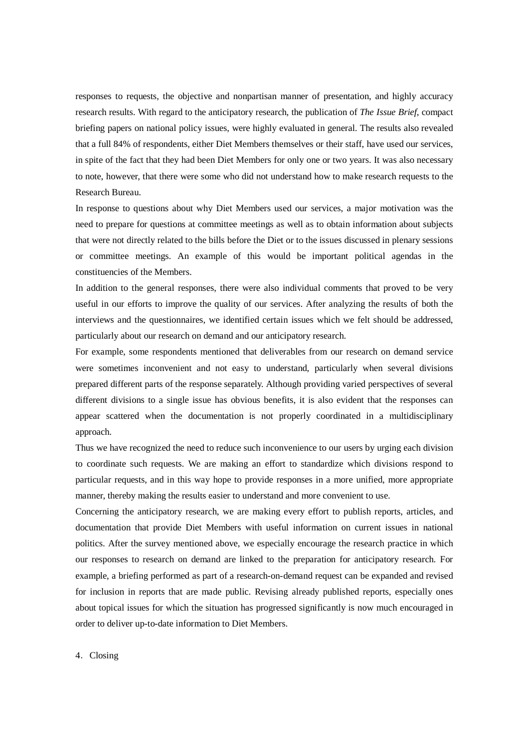responses to requests, the objective and nonpartisan manner of presentation, and highly accuracy research results. With regard to the anticipatory research, the publication of *The Issue Brief*, compact briefing papers on national policy issues, were highly evaluated in general. The results also revealed that a full 84% of respondents, either Diet Members themselves or their staff, have used our services, in spite of the fact that they had been Diet Members for only one or two years. It was also necessary to note, however, that there were some who did not understand how to make research requests to the Research Bureau.

In response to questions about why Diet Members used our services, a major motivation was the need to prepare for questions at committee meetings as well as to obtain information about subjects that were not directly related to the bills before the Diet or to the issues discussed in plenary sessions or committee meetings. An example of this would be important political agendas in the constituencies of the Members.

In addition to the general responses, there were also individual comments that proved to be very useful in our efforts to improve the quality of our services. After analyzing the results of both the interviews and the questionnaires, we identified certain issues which we felt should be addressed, particularly about our research on demand and our anticipatory research.

For example, some respondents mentioned that deliverables from our research on demand service were sometimes inconvenient and not easy to understand, particularly when several divisions prepared different parts of the response separately. Although providing varied perspectives of several different divisions to a single issue has obvious benefits, it is also evident that the responses can appear scattered when the documentation is not properly coordinated in a multidisciplinary approach.

Thus we have recognized the need to reduce such inconvenience to our users by urging each division to coordinate such requests. We are making an effort to standardize which divisions respond to particular requests, and in this way hope to provide responses in a more unified, more appropriate manner, thereby making the results easier to understand and more convenient to use.

Concerning the anticipatory research, we are making every effort to publish reports, articles, and documentation that provide Diet Members with useful information on current issues in national politics. After the survey mentioned above, we especially encourage the research practice in which our responses to research on demand are linked to the preparation for anticipatory research. For example, a briefing performed as part of a research-on-demand request can be expanded and revised for inclusion in reports that are made public. Revising already published reports, especially ones about topical issues for which the situation has progressed significantly is now much encouraged in order to deliver up-to-date information to Diet Members.

4.Closing